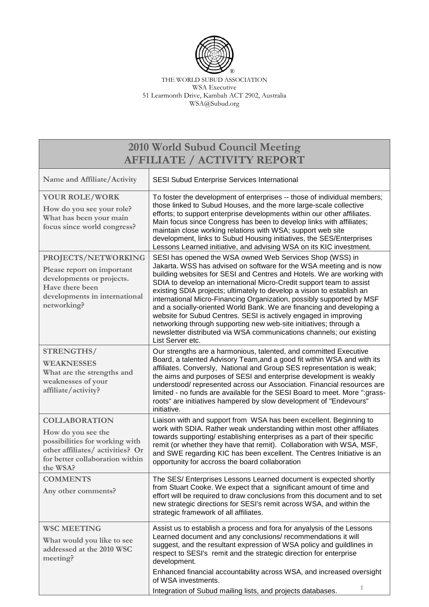

THE WORLD SUBUD ASSOCIATION WSA Executive 51 Learmonth Drive, Kambah ACT 2902, Australia WSA@Subud.org

| 2010 World Subud Council Meeting<br><b>AFFILIATE / ACTIVITY REPORT</b>                                                                                          |                                                                                                                                                                                                                                                                                                                                                                                                                                                                                                                                                                                                                                                                                                                                                    |  |
|-----------------------------------------------------------------------------------------------------------------------------------------------------------------|----------------------------------------------------------------------------------------------------------------------------------------------------------------------------------------------------------------------------------------------------------------------------------------------------------------------------------------------------------------------------------------------------------------------------------------------------------------------------------------------------------------------------------------------------------------------------------------------------------------------------------------------------------------------------------------------------------------------------------------------------|--|
|                                                                                                                                                                 |                                                                                                                                                                                                                                                                                                                                                                                                                                                                                                                                                                                                                                                                                                                                                    |  |
| Name and Affiliate/Activity                                                                                                                                     | SESI Subud Enterprise Services International                                                                                                                                                                                                                                                                                                                                                                                                                                                                                                                                                                                                                                                                                                       |  |
| <b>YOUR ROLE/WORK</b><br>How do you see your role?<br>What has been your main<br>focus since world congress?                                                    | To foster the development of enterprises -- those of individual members;<br>those linked to Subud Houses, and the more large-scale collective<br>efforts; to support enterprise developments within our other affiliates.<br>Main focus since Congress has been to develop links with affiliates;<br>maintain close working relations with WSA; support web site<br>development, links to Subud Housing initiatives, the SES/Enterprises<br>Lessons Learned initiative, and advising WSA on its KIC investment.                                                                                                                                                                                                                                    |  |
| PROJECTS/NETWORKING<br>Please report on important<br>developments or projects.<br>Have there been<br>developments in international<br>networking?               | SESI has opened the WSA owned Web Services Shop (WSS) in<br>Jakarta. WSS has advised on software for the WSA meeting and is now<br>building websites for SESI and Centres and Hotels. We are working with<br>SDIA to develop an international Micro-Credit support team to assist<br>existing SDIA projects; ultimately to develop a vision to establish an<br>international Micro-Financing Organization, possibly supported by MSF<br>and a socially-oriented World Bank. We are financing and developing a<br>website for Subud Centres. SESI is actively engaged in improving<br>networking through supporting new web-site initiatives; through a<br>newsletter distributed via WSA communications channels; our existing<br>List Server etc. |  |
| STRENGTHS/<br><b>WEAKNESSES</b><br>What are the strengths and<br>weaknesses of your<br>affiliate/activity?                                                      | Our strengths are a harmonious, talented, and committed Executive<br>Board, a talented Advisory Team, and a good fit within WSA and with its<br>affiliates. Conversly, National and Group SES representation is weak;<br>the aims and purposes of SESI and enterprise development is weakly<br>understood/represented across our Association. Financial resources are<br>limited - no funds are available for the SESI Board to meet. More ":grass-<br>roots" are initiatives hampered by slow development of "Endevours"<br>initiative.                                                                                                                                                                                                           |  |
| <b>COLLABORATION</b><br>How do you see the<br>possibilities for working with<br>other affiliates/ activities? Or<br>for better collaboration within<br>the WSA? | Liaison with and support from WSA has been excellent. Beginning to<br>work with SDIA. Rather weak understanding within most other affiliates<br>towards supporting/ establishing enterprises as a part of their specific<br>remit (or whether they have that remit). Collaboration with WSA, MSF,<br>and SWE regarding KIC has been excellent. The Centres Initiative is an<br>opportunity for accross the board collaboration                                                                                                                                                                                                                                                                                                                     |  |
| <b>COMMENTS</b><br>Any other comments?                                                                                                                          | The SES/ Enterprises Lessons Learned document is expected shortly<br>from Stuart Cooke. We expect that a significant amount of time and<br>effort will be required to draw conclusions from this document and to set<br>new strategic directions for SESI's remit across WSA, and within the<br>strategic framework of all affiliates.                                                                                                                                                                                                                                                                                                                                                                                                             |  |
| <b>WSC MEETING</b><br>What would you like to see<br>addressed at the 2010 WSC<br>meeting?                                                                       | Assist us to establish a process and fora for anyalysis of the Lessons<br>Learned document and any conclusions/ recommendations it will<br>suggest, and the resultant expression of WSA policy and guildlines in<br>respect to SESI's remit and the strategic direction for enterprise<br>development.<br>Enhanced financial accountability across WSA, and increased oversight<br>of WSA investments.<br>$\mathbf{1}$<br>Integration of Subud mailing lists, and projects databases.                                                                                                                                                                                                                                                              |  |